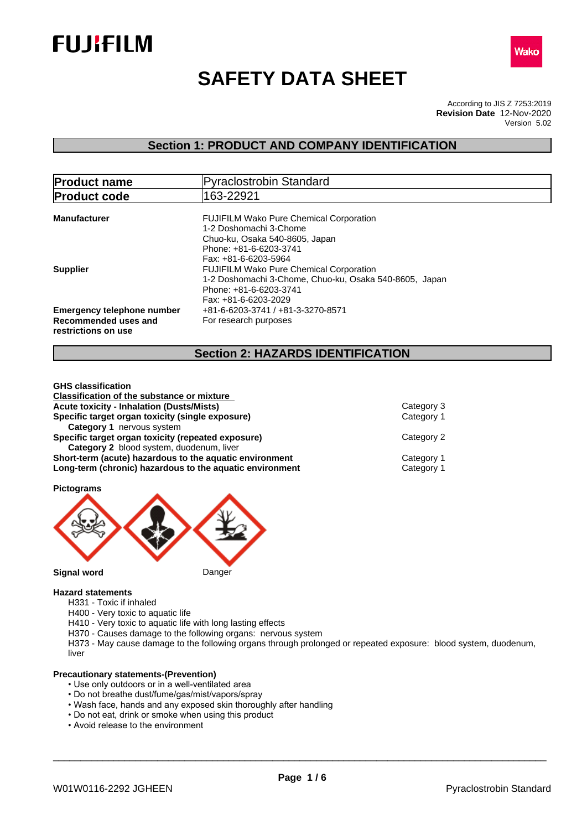



# **SAFETY DATA SHEET**

According to JIS Z 7253:2019 Version 5.02 **Revision Date** 12-Nov-2020

# **Section 1: PRODUCT AND COMPANY IDENTIFICATION**

| <b>Product name</b>                                                       | Pyraclostrobin Standard                                                                                                                                                            |  |  |
|---------------------------------------------------------------------------|------------------------------------------------------------------------------------------------------------------------------------------------------------------------------------|--|--|
| <b>Product code</b>                                                       | 163-22921                                                                                                                                                                          |  |  |
| <b>Manufacturer</b>                                                       | <b>FUJIFILM Wako Pure Chemical Corporation</b><br>1-2 Doshomachi 3-Chome<br>Chuo-ku, Osaka 540-8605, Japan<br>Phone: +81-6-6203-3741                                               |  |  |
| <b>Supplier</b>                                                           | Fax: +81-6-6203-5964<br><b>FUJIFILM Wako Pure Chemical Corporation</b><br>1-2 Doshomachi 3-Chome, Chuo-ku, Osaka 540-8605, Japan<br>Phone: +81-6-6203-3741<br>Fax: +81-6-6203-2029 |  |  |
| Emergency telephone number<br>Recommended uses and<br>restrictions on use | +81-6-6203-3741 / +81-3-3270-8571<br>For research purposes                                                                                                                         |  |  |

# **Section 2: HAZARDS IDENTIFICATION**

| <b>GHS</b> classification                                |            |
|----------------------------------------------------------|------------|
| <b>Classification of the substance or mixture</b>        |            |
| <b>Acute toxicity - Inhalation (Dusts/Mists)</b>         | Category 3 |
| Specific target organ toxicity (single exposure)         | Category 1 |
| Category 1 nervous system                                |            |
| Specific target organ toxicity (repeated exposure)       | Category 2 |
| Category 2 blood system, duodenum, liver                 |            |
| Short-term (acute) hazardous to the aquatic environment  | Category 1 |
| Long-term (chronic) hazardous to the aquatic environment | Category 1 |

**Pictograms**



**Hazard statements**

- H331 Toxic if inhaled
- H400 Very toxic to aquatic life
- H410 Very toxic to aquatic life with long lasting effects
- H370 Causes damage to the following organs: nervous system

H373 - May cause damage to the following organs through prolonged or repeated exposure: blood system, duodenum, liver

#### **Precautionary statements-(Prevention)**

- Use only outdoors or in a well-ventilated area
- Do not breathe dust/fume/gas/mist/vapors/spray
- Wash face, hands and any exposed skin thoroughly after handling
- Do not eat, drink or smoke when using this product
- Avoid release to the environment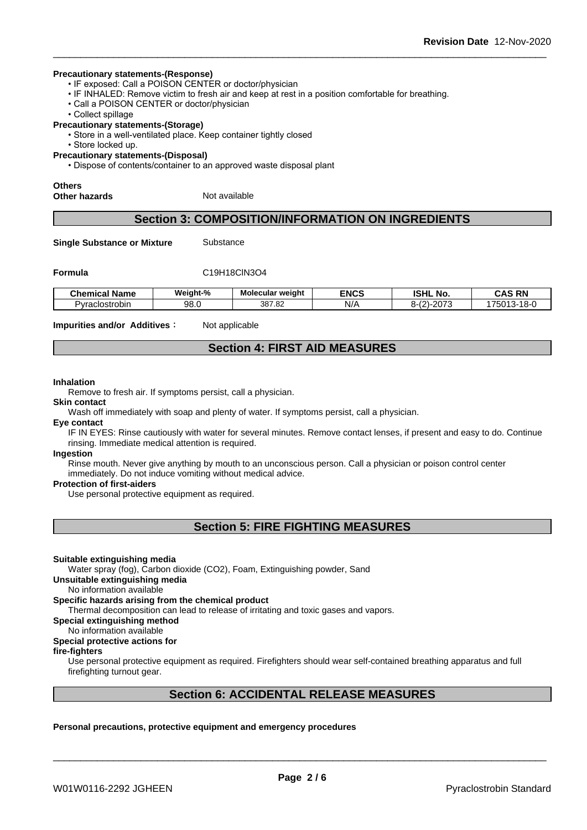#### **Precautionary statements-(Response)**

- IF exposed: Call a POISON CENTER or doctor/physician
- IF INHALED: Remove victim to fresh air and keep at rest in a position comfortable for breathing.
- Call a POISON CENTER or doctor/physician
- Collect spillage

#### **Precautionary statements-(Storage)**

- Store in a well-ventilated place. Keep container tightly closed
- Store locked up.
- **Precautionary statements-(Disposal)**

• Dispose of contents/container to an approved waste disposal plant

# **Others**

**Other hazards** Not available

# **Section 3: COMPOSITION/INFORMATION ON INGREDIENTS**

**Single Substance or Mixture** Substance

#### **Formula** C19H18ClN3O4

| <b>Chemical</b><br>∣Name | Weight-%   | Molecular weight | <b>ENCS</b> | <b>ISHL</b><br>. .<br><b>No</b> | <b>CAS RN</b>                                         |
|--------------------------|------------|------------------|-------------|---------------------------------|-------------------------------------------------------|
| Pyraclostrobir           | ۵R<br>JU.U | 387.82           | N/A         | 1.207<br>$\sqrt{2}$<br>∼-<br>∼  | <u>ര പ</u><br>$\sim$ 0.4 $\sim$<br>750°<br>⊦o-u<br>~- |

**Impurities and/or Additives** : Not applicable

# **Section 4: FIRST AID MEASURES**

#### **Inhalation**

Remove to fresh air. If symptoms persist, call a physician.

#### **Skin contact**

Wash off immediately with soap and plenty of water. If symptoms persist, call a physician.

#### **Eye contact**

IF IN EYES: Rinse cautiously with water for several minutes. Remove contact lenses, if present and easy to do. Continue rinsing. Immediate medical attention is required.

#### **Ingestion**

Rinse mouth. Never give anything by mouth to an unconscious person. Call a physician or poison control center immediately. Do not induce vomiting without medical advice.

#### **Protection of first-aiders**

Use personal protective equipment as required.

# **Section 5: FIRE FIGHTING MEASURES**

#### **Suitable extinguishing media**

Water spray (fog), Carbon dioxide (CO2), Foam, Extinguishing powder, Sand

# **Unsuitable extinguishing media**

No information available

### **Specific hazards arising from the chemical product**

Thermal decomposition can lead to release of irritating and toxic gases and vapors.

**Special extinguishing method**

# No information available

# **Special protective actions for**

### **fire-fighters**

Use personal protective equipment as required.Firefighters should wear self-contained breathing apparatus and full firefighting turnout gear.

# **Section 6: ACCIDENTAL RELEASE MEASURES**

#### **Personal precautions, protective equipment and emergency procedures**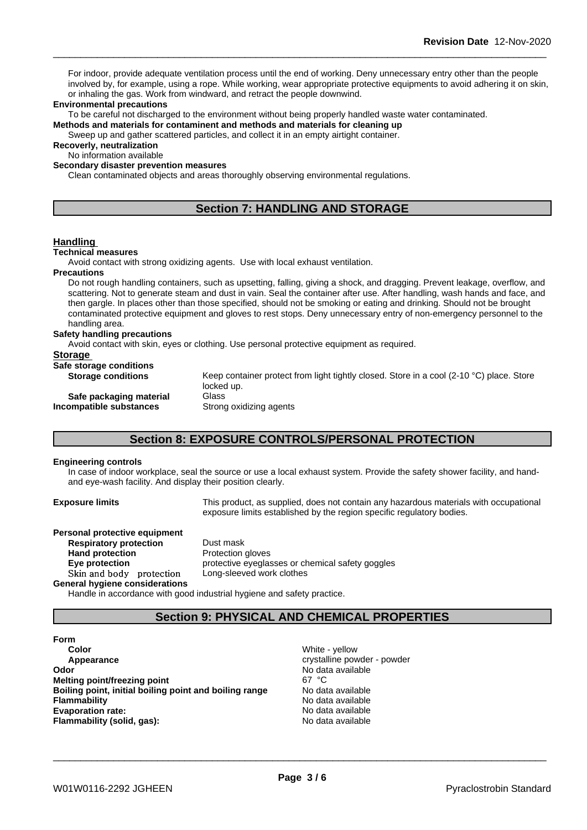For indoor, provide adequate ventilation process until the end of working. Deny unnecessary entry other than the people involved by, for example, using a rope. While working, wear appropriate protective equipments to avoid adhering it on skin, or inhaling the gas. Work from windward, and retract the people downwind.

#### **Environmental precautions**

To be careful not discharged to the environment without being properly handled waste water contaminated.

**Methods and materials for contaminent and methods and materials for cleaning up**

Sweep up and gather scattered particles, and collect it in an empty airtight container.

**Recoverly, neutralization** No information available

**Secondary disaster prevention measures**

Clean contaminated objects and areas thoroughly observing environmental regulations.

# **Section 7: HANDLING AND STORAGE**

### **Handling**

#### **Technical measures**

Avoid contact with strong oxidizing agents. Use with local exhaust ventilation.

#### **Precautions**

Do not rough handling containers, such as upsetting, falling, giving a shock, and dragging. Prevent leakage, overflow, and scattering. Not to generate steam and dust in vain. Seal the container after use. After handling, wash hands and face, and then gargle. In places other than those specified, should not be smoking or eating and drinking. Should not be brought contaminated protective equipment and gloves to rest stops. Deny unnecessary entry of non-emergency personnel to the handling area.

#### **Safety handling precautions**

Avoid contact with skin, eyes or clothing. Use personal protective equipment as required.

| <b>Storage</b>            |                                                                                                        |
|---------------------------|--------------------------------------------------------------------------------------------------------|
| Safe storage conditions   |                                                                                                        |
| <b>Storage conditions</b> | Keep container protect from light tightly closed. Store in a cool (2-10 °C) place. Store<br>locked up. |
| Safe packaging material   | Glass                                                                                                  |

**Incompatible substances** Strong oxidizing agents

# **Section 8: EXPOSURE CONTROLS/PERSONAL PROTECTION**

#### **Engineering controls**

In case of indoor workplace, seal the source or use a local exhaust system. Provide the safety shower facility, and handand eye-wash facility. And display their position clearly.

**Exposure limits** This product, as supplied, does not contain any hazardous materials with occupational exposure limits established by the region specific regulatory bodies.

**Personal protective equipment Respiratory protection** Dust mask **Hand protection** Protection gloves **Skinandbody protection** Long-sleeved work clothes

**General hygiene considerations**

**Eye protection Eye** protective eyeglasses or chemical safety goggles

Handle in accordance with good industrial hygiene and safety practice.

# **Section 9: PHYSICAL AND CHEMICAL PROPERTIES**

**Form Color** White - yellow **Appearance crystalline powder - powder Odor Odor** No data available<br> **Melting point/freezing point All and Secure 2008** 67 °C **Melting point/freezing point Boiling point, initial boiling point and boiling range** No data available **Flammability** No data available **Evaporation rate:** No data available **Flammability (solid, gas):** No data available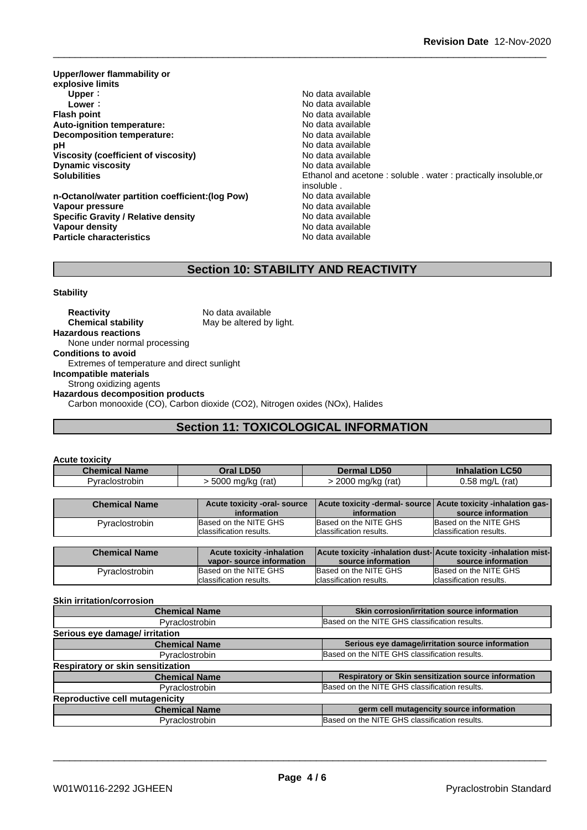**Upper/lower flammability or explosive limits Upper** : the contract of the contract of the contract of the contract of the contract of the contract of the contract of the contract of the contract of the contract of the contract of the contract of the contract of the **Lower** : **Lower** : **Constant Constant Constant Constant Constant Constant Constant Constant Constant Constant Constant Constant Constant Constant Constant Constant Constant Constant Constant Constant Constant Constant Con Auto-ignition temperature: Decomposition temperature:** No data available **pH**  $\blacksquare$  No data available **Viscosity (coefficient of viscosity)** No data available **Dynamic viscosity No data available** 

**n-Octanol/water partition coefficient:(log Pow) No data available<br>
Vapour pressure Modata available Vapour pressure**<br> **Specific Gravity / Relative density**<br>
Specific Gravity / Relative density<br>
No data available **Specific Gravity / Relative density Vapour density No data available Particle characteristics** No data available

**Flash Available**<br>No data available **Solubilities** Ethanol and acetone : soluble . water : practically insoluble,or insoluble .

# **Section 10: STABILITY AND REACTIVITY**

#### **Stability**

**Reactivity** No data available **Chemical stability** May be altered by light. **Hazardous reactions** None under normal processing **Conditions to avoid** Extremes of temperature and direct sunlight **Incompatible materials** Strong oxidizing agents **Hazardous decomposition products** Carbon monooxide (CO), Carbon dioxide (CO2), Nitrogen oxides (NOx), Halides

# **Section 11: TOXICOLOGICAL INFORMATION**

| <b>Acute toxicity</b> |                       |                    |                        |
|-----------------------|-----------------------|--------------------|------------------------|
| <b>Chemical Name</b>  | Oral LD50             | <b>Dermal LD50</b> | <b>Inhalation LC50</b> |
| Pvraclostrobin        | 5000<br>) ma/ka (rat) | 2000 mg/kg (rat)   | 0.58 ma/L<br>(rat)     |

| <b>Chemical Name</b> | Acute toxicity -oral- source      | Acute toxicity -dermal- source Acute toxicity -inhalation gas-   |                          |
|----------------------|-----------------------------------|------------------------------------------------------------------|--------------------------|
|                      | information                       | information                                                      | source information       |
| Pyraclostrobin       | Based on the NITE GHS             | Based on the NITE GHS                                            | Based on the NITE GHS    |
|                      | classification results.           | classification results.                                          | Iclassification results. |
|                      |                                   |                                                                  |                          |
|                      |                                   |                                                                  |                          |
| <b>Chemical Name</b> | <b>Acute toxicity -inhalation</b> | Acute toxicity -inhalation dust-Acute toxicity -inhalation mist- |                          |
|                      | vapor-source information          | source information                                               | source information       |
| Pyraclostrobin       | Based on the NITE GHS             | Based on the NITE GHS                                            | Based on the NITE GHS    |

#### **Skin irritation/corrosion**

| <b>Chemical Name</b>                  | Skin corrosion/irritation source information         |
|---------------------------------------|------------------------------------------------------|
| Pyraclostrobin                        | Based on the NITE GHS classification results.        |
| Serious eye damage/ irritation        |                                                      |
| <b>Chemical Name</b>                  | Serious eye damage/irritation source information     |
| Pyraclostrobin                        | Based on the NITE GHS classification results.        |
| Respiratory or skin sensitization     |                                                      |
| <b>Chemical Name</b>                  | Respiratory or Skin sensitization source information |
| Pyraclostrobin                        | Based on the NITE GHS classification results.        |
| <b>Reproductive cell mutagenicity</b> |                                                      |
| <b>Chemical Name</b>                  | germ cell mutagencity source information             |
| Pyraclostrobin                        | Based on the NITE GHS classification results.        |
|                                       |                                                      |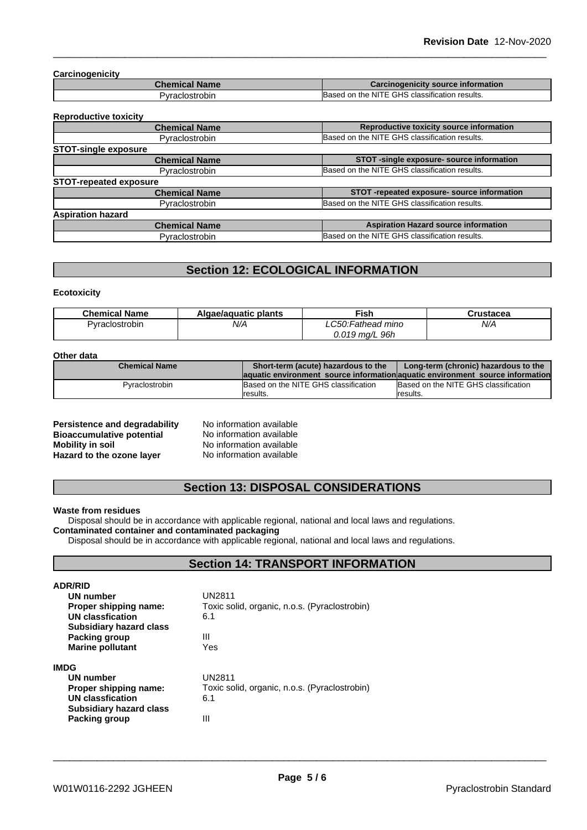#### **Carcinogenicity**

| <b>Chemical Name</b> | Carcinogenicity source information            |
|----------------------|-----------------------------------------------|
| iYraclostrobin       | Based on the NITE GHS classification results. |

#### **Reproductive toxicity**

| <b>Chemical Name</b>          | Reproductive toxicity source information      |
|-------------------------------|-----------------------------------------------|
| Pyraclostrobin                | Based on the NITE GHS classification results. |
| <b>STOT-single exposure</b>   |                                               |
| <b>Chemical Name</b>          | STOT -single exposure- source information     |
| Pyraclostrobin                | Based on the NITE GHS classification results. |
| <b>STOT-repeated exposure</b> |                                               |
| <b>Chemical Name</b>          | STOT-repeated exposure- source information    |
| <b>Pyraclostrobin</b>         | Based on the NITE GHS classification results. |
| <b>Aspiration hazard</b>      |                                               |
| <b>Chemical Name</b>          | <b>Aspiration Hazard source information</b>   |
| Pyraclostrobin                | Based on the NITE GHS classification results. |
|                               |                                               |

# **Section 12: ECOLOGICAL INFORMATION**

#### **Ecotoxicity**

| <b>Chemical Name</b> | Algae/aguatic plants | Fish              | Crustacea |
|----------------------|----------------------|-------------------|-----------|
| Pyraclostrobin       | N/A                  | .C50:Fathead mino | N/A       |
|                      |                      | $0.019$ mg/L 96h  |           |

#### **Other data**

| ------------         |                                                                                |                                      |
|----------------------|--------------------------------------------------------------------------------|--------------------------------------|
| <b>Chemical Name</b> | Short-term (acute) hazardous to the                                            | Long-term (chronic) hazardous to the |
|                      | laquatic environment source information aquatic environment source information |                                      |
| Pyraclostrobin       | Based on the NITE GHS classification                                           | Based on the NITE GHS classification |
|                      | Iresults.                                                                      | <i>c</i> esults.                     |

| Persistence and degradability    | No information available |
|----------------------------------|--------------------------|
| <b>Bioaccumulative potential</b> | No information available |
| <b>Mobility in soil</b>          | No information available |
| Hazard to the ozone layer        | No information available |

# **Section 13: DISPOSAL CONSIDERATIONS**

#### **Waste from residues**

Disposal should be in accordance with applicable regional, national and local laws and regulations. **Contaminated container and contaminated packaging**

Disposal should be in accordance with applicable regional, national and local laws and regulations.

# **Section 14: TRANSPORT INFORMATION**

| <b>ADR/RID</b>                 |                                               |  |  |  |
|--------------------------------|-----------------------------------------------|--|--|--|
| UN number                      | UN2811                                        |  |  |  |
| Proper shipping name:          | Toxic solid, organic, n.o.s. (Pyraclostrobin) |  |  |  |
| <b>UN classfication</b>        | 6.1                                           |  |  |  |
| <b>Subsidiary hazard class</b> |                                               |  |  |  |
| Packing group                  | Ш                                             |  |  |  |
| <b>Marine pollutant</b>        | Yes                                           |  |  |  |
| <b>IMDG</b>                    |                                               |  |  |  |
| <b>UN number</b>               | UN2811                                        |  |  |  |
| Proper shipping name:          | Toxic solid, organic, n.o.s. (Pyraclostrobin) |  |  |  |
| <b>UN classfication</b>        | 6.1                                           |  |  |  |
| <b>Subsidiary hazard class</b> |                                               |  |  |  |
| Packing group                  | Ш                                             |  |  |  |
|                                |                                               |  |  |  |